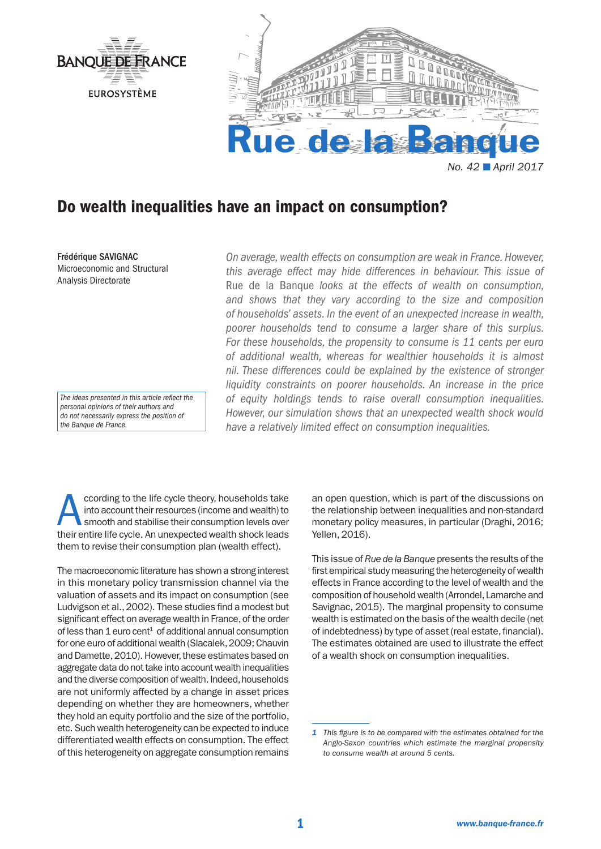

# Do wealth inequalities have an impact on consumption?

Frédérique SAVIGNAC Microeconomic and Structural Analysis Directorate

*The ideas presented in this article reflect the personal opinions of their authors and do not necessarily express the position of the Banque de France.*

*On average, wealth effects on consumption are weak in France. However, this average effect may hide differences in behaviour. This issue of*  Rue de la Banque *looks at the effects of wealth on consumption, and shows that they vary according to the size and composition of households' assets. In the event of an unexpected increase in wealth, poorer households tend to consume a larger share of this surplus. For these households, the propensity to consume is 11 cents per euro of additional wealth, whereas for wealthier households it is almost nil. These differences could be explained by the existence of stronger liquidity constraints on poorer households. An increase in the price of equity holdings tends to raise overall consumption inequalities. However, our simulation shows that an unexpected wealth shock would have a relatively limited effect on consumption inequalities.*

ccording to the life cycle theory, households take<br>into account their resources (income and wealth) to<br>smooth and stabilise their consumption levels over<br>their entire life cycle. An unexpected wealth shock leads into account their resources (income and wealth) to their entire life cycle. An unexpected wealth shock leads them to revise their consumption plan (wealth effect).

The macroeconomic literature has shown a strong interest in this monetary policy transmission channel via the valuation of assets and its impact on consumption (see Ludvigson et al., 2002). These studies find a modest but significant effect on average wealth in France, of the order of less than  $1$  euro cent<sup>1</sup> of additional annual consumption for one euro of additional wealth (Slacalek, 2009; Chauvin and Damette, 2010). However, these estimates based on aggregate data do not take into account wealth inequalities and the diverse composition of wealth. Indeed, households are not uniformly affected by a change in asset prices depending on whether they are homeowners, whether they hold an equity portfolio and the size of the portfolio, etc. Such wealth heterogeneity can be expected to induce differentiated wealth effects on consumption. The effect of this heterogeneity on aggregate consumption remains

an open question, which is part of the discussions on the relationship between inequalities and non-standard monetary policy measures, in particular (Draghi, 2016; Yellen, 2016).

This issue of *Rue de la Banque* presents the results of the first empirical study measuring the heterogeneity of wealth effects in France according to the level of wealth and the composition of household wealth (Arrondel, Lamarche and Savignac, 2015). The marginal propensity to consume wealth is estimated on the basis of the wealth decile (net of indebtedness) by type of asset (real estate, financial). The estimates obtained are used to illustrate the effect of a wealth shock on consumption inequalities.

*<sup>1</sup> This figure is to be compared with the estimates obtained for the Anglo-Saxon countries which estimate the marginal propensity to consume wealth at around 5 cents.*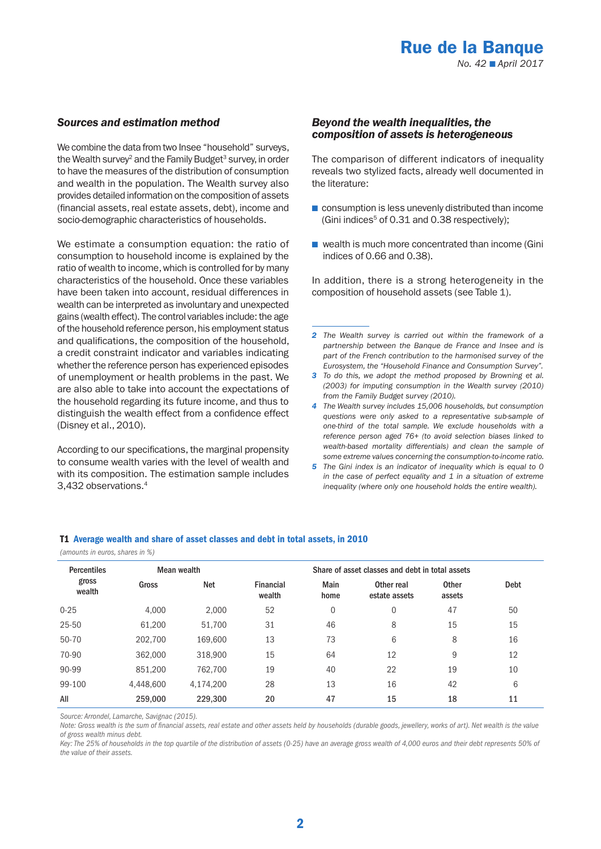# *Sources and estimation method*

We combine the data from two Insee "household" surveys, the Wealth survey<sup>2</sup> and the Family Budget<sup>3</sup> survey, in order to have the measures of the distribution of consumption and wealth in the population. The Wealth survey also provides detailed information on the composition of assets (financial assets, real estate assets, debt), income and socio-demographic characteristics of households.

We estimate a consumption equation: the ratio of consumption to household income is explained by the ratio of wealth to income, which is controlled for by many characteristics of the household. Once these variables have been taken into account, residual differences in wealth can be interpreted as involuntary and unexpected gains (wealth effect). The control variables include: the age of the household reference person, his employment status and qualifications, the composition of the household, a credit constraint indicator and variables indicating whether the reference person has experienced episodes of unemployment or health problems in the past. We are also able to take into account the expectations of the household regarding its future income, and thus to distinguish the wealth effect from a confidence effect (Disney et al., 2010).

According to our specifications, the marginal propensity to consume wealth varies with the level of wealth and with its composition. The estimation sample includes 3,432 observations.4

## *Beyond the wealth inequalities, the composition of assets is heterogeneous*

The comparison of different indicators of inequality reveals two stylized facts, already well documented in the literature:

- consumption is less unevenly distributed than income (Gini indices $5$  of 0.31 and 0.38 respectively);
- wealth is much more concentrated than income (Gini) indices of 0.66 and 0.38).

In addition, there is a strong heterogeneity in the composition of household assets (see Table 1).

- *2 The Wealth survey is carried out within the framework of a partnership between the Banque de France and Insee and is part of the French contribution to the harmonised survey of the Eurosystem, the "Household Finance and Consumption Survey".*
- *3 To do this, we adopt the method proposed by Browning et al. (2003) for imputing consumption in the Wealth survey (2010) from the Family Budget survey (2010).*
- *4 The Wealth survey includes 15,006 households, but consumption questions were only asked to a representative sub-sample of one-third of the total sample. We exclude households with a reference person aged 76+ (to avoid selection biases linked to wealth-based mortality differentials) and clean the sample of some extreme values concerning the consumption-to-income ratio.*
- *5 The Gini index is an indicator of inequality which is equal to 0 in the case of perfect equality and 1 in a situation of extreme inequality (where only one household holds the entire wealth).*

## T1 Average wealth and share of asset classes and debt in total assets, in 2010

*(amounts in euros, shares in %)*

| <b>Percentiles</b> | Mean wealth |           | Share of asset classes and debt in total assets |                |                             |                        |      |
|--------------------|-------------|-----------|-------------------------------------------------|----------------|-----------------------------|------------------------|------|
| gross<br>wealth    | Gross       | Net       | Financial<br>wealth                             | Main<br>home   | Other real<br>estate assets | <b>Other</b><br>assets | Debt |
| $0 - 25$           | 4.000       | 2.000     | 52                                              | $\overline{0}$ | $\mathbf{0}$                | 47                     | 50   |
| 25-50              | 61,200      | 51,700    | 31                                              | 46             | 8                           | 15                     | 15   |
| 50-70              | 202,700     | 169,600   | 13                                              | 73             | 6                           | 8                      | 16   |
| 70-90              | 362,000     | 318,900   | 15                                              | 64             | 12                          | 9                      | 12   |
| 90-99              | 851,200     | 762.700   | 19                                              | 40             | 22                          | 19                     | 10   |
| 99-100             | 4,448,600   | 4,174,200 | 28                                              | 13             | 16                          | 42                     | 6    |
| All                | 259,000     | 229,300   | 20                                              | 47             | 15                          | 18                     | 11   |

*Source: Arrondel, Lamarche, Savignac (2015).* 

*Note: Gross wealth is the sum of financial assets, real estate and other assets held by households (durable goods, jewellery, works of art). Net wealth is the value of gross wealth minus debt.*

Key: The 25% of households in the top quartile of the distribution of assets (0-25) have an average gross wealth of 4,000 euros and their debt represents 50% of *the value of their assets.*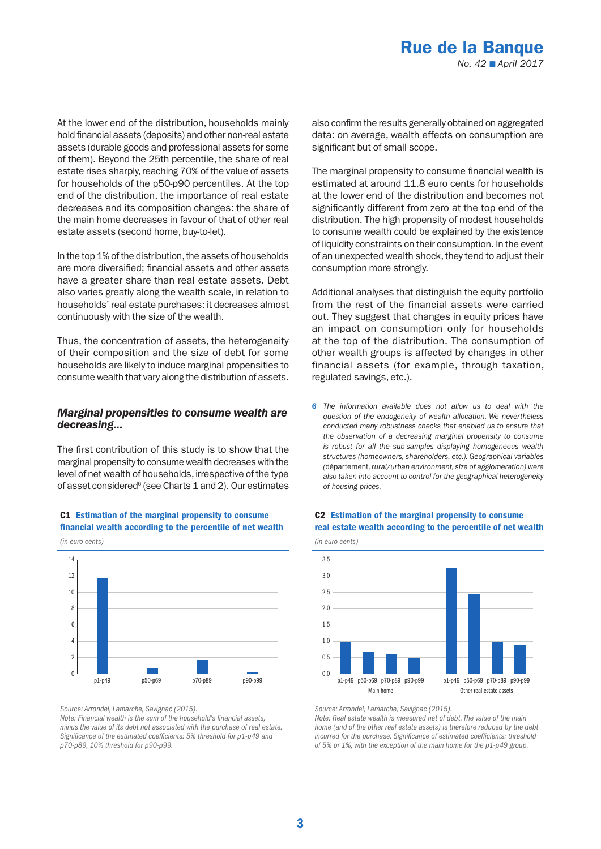At the lower end of the distribution, households mainly hold financial assets (deposits) and other non-real estate assets (durable goods and professional assets for some of them). Beyond the 25th percentile, the share of real estate rises sharply, reaching 70% of the value of assets for households of the p50-p90 percentiles. At the top end of the distribution, the importance of real estate decreases and its composition changes: the share of the main home decreases in favour of that of other real estate assets (second home, buy-to-let).

In the top 1% of the distribution, the assets of households are more diversified; financial assets and other assets have a greater share than real estate assets. Debt also varies greatly along the wealth scale, in relation to households' real estate purchases: it decreases almost continuously with the size of the wealth.

Thus, the concentration of assets, the heterogeneity of their composition and the size of debt for some households are likely to induce marginal propensities to consume wealth that vary along the distribution of assets.

# *Marginal propensities to consume wealth are decreasing...*

The first contribution of this study is to show that the marginal propensity to consume wealth decreases with the level of net wealth of households, irrespective of the type of asset considered<sup>6</sup> (see Charts 1 and 2). Our estimates



# C1 Estimation of the marginal propensity to consume financial wealth according to the percentile of net wealth

*Source: Arrondel, Lamarche, Savignac (2015).* 

*Note: Financial wealth is the sum of the household's financial assets, minus the value of its debt not associated with the purchase of real estate. Significance of the estimated coefficients: 5% threshold for p1-p49 and p70-p89, 10% threshold for p90-p99.*

also confirm the results generally obtained on aggregated data: on average, wealth effects on consumption are significant but of small scope.

The marginal propensity to consume financial wealth is estimated at around 11.8 euro cents for households at the lower end of the distribution and becomes not significantly different from zero at the top end of the distribution. The high propensity of modest households to consume wealth could be explained by the existence of liquidity constraints on their consumption. In the event of an unexpected wealth shock, they tend to adjust their consumption more strongly.

Additional analyses that distinguish the equity portfolio from the rest of the financial assets were carried out. They suggest that changes in equity prices have an impact on consumption only for households at the top of the distribution. The consumption of other wealth groups is affected by changes in other financial assets (for example, through taxation, regulated savings, etc.).

*6 The information available does not allow us to deal with the question of the endogeneity of wealth allocation. We nevertheless conducted many robustness checks that enabled us to ensure that the observation of a decreasing marginal propensity to consume is robust for all the sub-samples displaying homogeneous wealth structures (homeowners, shareholders, etc.). Geographical variables (*département*, rural/urban environment, size of agglomeration) were also taken into account to control for the geographical heterogeneity of housing prices.*



## C2 Estimation of the marginal propensity to consume real estate wealth according to the percentile of net wealth

*Source: Arrondel, Lamarche, Savignac (2015).* 

*Note: Real estate wealth is measured net of debt. The value of the main home (and of the other real estate assets) is therefore reduced by the debt incurred for the purchase. Significance of estimated coefficients: threshold of 5% or 1%, with the exception of the main home for the p1-p49 group.*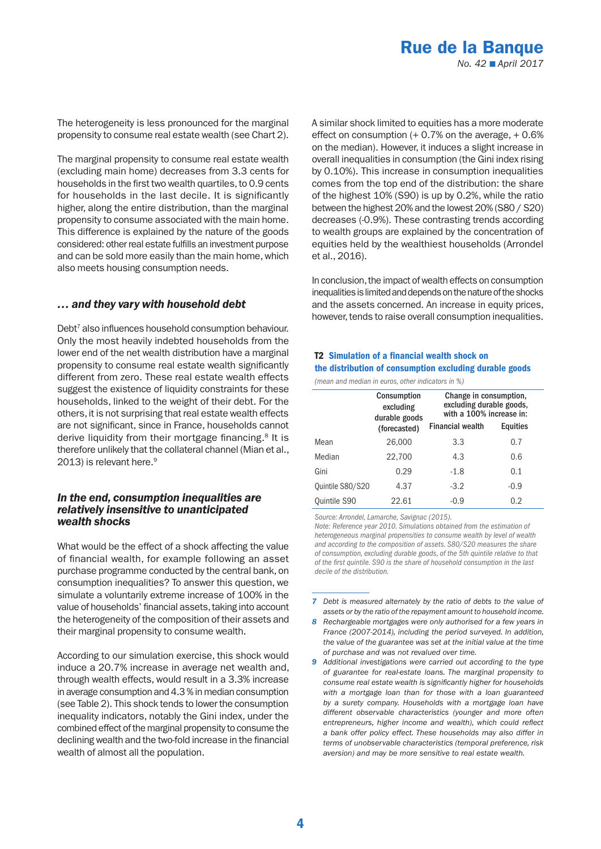The heterogeneity is less pronounced for the marginal propensity to consume real estate wealth (see Chart 2).

The marginal propensity to consume real estate wealth (excluding main home) decreases from 3.3 cents for households in the first two wealth quartiles, to 0.9 cents for households in the last decile. It is significantly higher, along the entire distribution, than the marginal propensity to consume associated with the main home. This difference is explained by the nature of the goods considered: other real estate fulfills an investment purpose and can be sold more easily than the main home, which also meets housing consumption needs.

# *… and they vary with household debt*

Debt7 also influences household consumption behaviour. Only the most heavily indebted households from the lower end of the net wealth distribution have a marginal propensity to consume real estate wealth significantly different from zero. These real estate wealth effects suggest the existence of liquidity constraints for these households, linked to the weight of their debt. For the others, it is not surprising that real estate wealth effects are not significant, since in France, households cannot derive liquidity from their mortgage financing.<sup>8</sup> It is therefore unlikely that the collateral channel (Mian et al., 2013) is relevant here.<sup>9</sup>

# *In the end, consumption inequalities are relatively insensitive to unanticipated wealth shocks*

What would be the effect of a shock affecting the value of financial wealth, for example following an asset purchase programme conducted by the central bank, on consumption inequalities? To answer this question, we simulate a voluntarily extreme increase of 100% in the value of households' financial assets, taking into account the heterogeneity of the composition of their assets and their marginal propensity to consume wealth.

According to our simulation exercise, this shock would induce a 20.7% increase in average net wealth and, through wealth effects, would result in a 3.3% increase in average consumption and 4.3 % in median consumption (see Table 2). This shock tends to lower the consumption inequality indicators, notably the Gini index, under the combined effect of the marginal propensity to consume the declining wealth and the two-fold increase in the financial wealth of almost all the population.

A similar shock limited to equities has a more moderate effect on consumption  $(+ 0.7\%$  on the average,  $+ 0.6\%$ on the median). However, it induces a slight increase in overall inequalities in consumption (the Gini index rising by 0.10%). This increase in consumption inequalities comes from the top end of the distribution: the share of the highest 10% (S90) is up by 0.2%, while the ratio between the highest 20% and the lowest 20% (S80 / S20) decreases (-0.9%). These contrasting trends according to wealth groups are explained by the concentration of equities held by the wealthiest households (Arrondel et al., 2016).

In conclusion, the impact of wealth effects on consumption inequalities is limited and depends on the nature of the shocks and the assets concerned. An increase in equity prices, however, tends to raise overall consumption inequalities.

# T2 Simulation of a financial wealth shock on the distribution of consumption excluding durable goods

*(mean and median in euros, other indicators in %)*

|                  | <b>Consumption</b><br>excluding<br>durable goods | Change in consumption,<br>excluding durable goods,<br>with a 100% increase in: |                 |  |
|------------------|--------------------------------------------------|--------------------------------------------------------------------------------|-----------------|--|
|                  | (forecasted)                                     | <b>Financial wealth</b>                                                        | <b>Equities</b> |  |
| Mean             | 26,000                                           | 3.3                                                                            | 0.7             |  |
| Median           | 22,700                                           | 4.3                                                                            | 0.6             |  |
| Gini             | 0.29                                             | $-1.8$                                                                         | 0.1             |  |
| Quintile S80/S20 | 4.37                                             | $-3.2$                                                                         | $-0.9$          |  |
| Quintile S90     | 22.61                                            | $-0.9$                                                                         | 0.2             |  |

*Source: Arrondel, Lamarche, Savignac (2015).* 

*Note: Reference year 2010. Simulations obtained from the estimation of heterogeneous marginal propensities to consume wealth by level of wealth and according to the composition of assets. S80/S20 measures the share of consumption, excluding durable goods, of the 5th quintile relative to that of the first quintile. S90 is the share of household consumption in the last decile of the distribution.*

*<sup>7</sup> Debt is measured alternately by the ratio of debts to the value of assets or by the ratio of the repayment amount to household income.*

*<sup>8</sup> Rechargeable mortgages were only authorised for a few years in France (2007-2014), including the period surveyed. In addition, the value of the guarantee was set at the initial value at the time of purchase and was not revalued over time.* 

*<sup>9</sup> Additional investigations were carried out according to the type of guarantee for real-estate loans. The marginal propensity to consume real estate wealth is significantly higher for households with a mortgage loan than for those with a loan guaranteed by a surety company. Households with a mortgage loan have different observable characteristics (younger and more often entrepreneurs, higher income and wealth), which could reflect a bank offer policy effect. These households may also differ in terms of unobservable characteristics (temporal preference, risk aversion) and may be more sensitive to real estate wealth.*